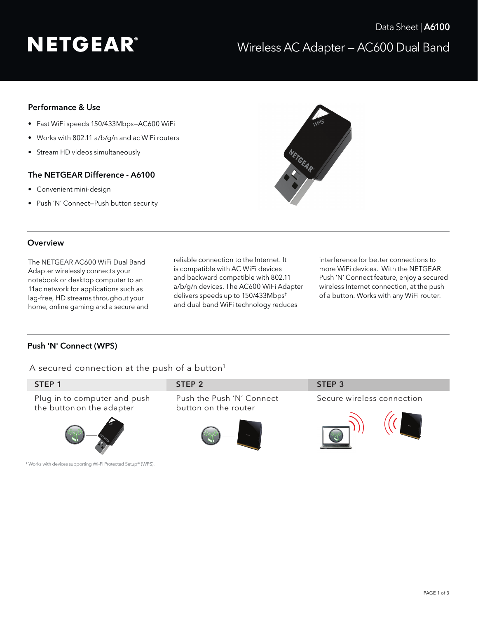# **NETGEAR®**

## Performance & Use

- Fast WiFi speeds 150/433Mbps—AC600 WiFi
- Works with 802.11 a/b/g/n and ac WiFi routers
- Stream HD videos simultaneously

### The NETGEAR Difference - A6100

- Convenient mini-design
- Push 'N' Connect—Push button security



#### **Overview**

The NETGEAR AC600 WiFi Dual Band Adapter wirelessly connects your notebook or desktop computer to an 11ac network for applications such as lag-free, HD streams throughout your home, online gaming and a secure and reliable connection to the Internet. It is compatible with AC WiFi devices and backward compatible with 802.11 a/b/g/n devices. The AC600 WiFi Adapter delivers speeds up to 150/433Mbps† and dual band WiFi technology reduces

interference for better connections to more WiFi devices. With the NETGEAR Push 'N' Connect feature, enjoy a secured wireless Internet connection, at the push of a button. Works with any WiFi router.

## Push 'N' Connect (WPS)

A secured connection at the push of a button<sup>1</sup>

| STEP <sub>1</sub>                                                        | STEP <sub>2</sub>                                 | STEP <sub>3</sub>          |
|--------------------------------------------------------------------------|---------------------------------------------------|----------------------------|
| Plug in to computer and push<br>the button on the adapter                | Push the Push 'N' Connect<br>button on the router | Secure wireless connection |
| <sup>1</sup> Works with devices supporting Wi-Fi Protected Setup® (WPS). |                                                   |                            |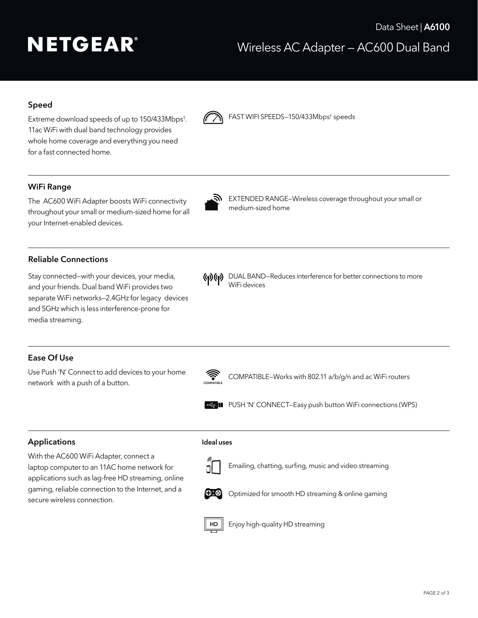# **NETGEAR®**

## Speed

Extreme download speeds of up to 150/433Mbps† . 11ac WiFi with dual band technology provides whole home coverage and everything you need for a fast connected home.



**M** FAST WIFI SPEEDS-150/433Mbps<sup>†</sup> speeds

## WiFi Range

The AC600 WiFi Adapter boosts WiFi connectivity<br>medium-sized home throughout your small or medium-sized home for all your Internet-enabled devices.



EXTENDED RANGE–Wireless coverage throughout your small or

### Reliable Connections

Stay connected—with your devices, your media, and your friends. Dual band WiFi provides two separate WiFi networks—2.4GHz for legacy devices and 5GHz which is less interference-prone for media streaming.

- 
- () (e) DUAL BAND–Reduces interference for better connections to more WiFi devices

### Ease Of Use

Use Push 'N' Connect to add devices to your home network with a push of a button.



COMPATIBLE–Works with 802.11 a/b/g/n and ac WiFi routers



**PUSH 'N' CONNECT–Easy push button WiFi connections (WPS)** 

### Applications

With the AC600 WiFi Adapter, connect a laptop computer to an 11AC home network for applications such as lag-free HD streaming, online gaming, reliable connection to the Internet, and a secure wireless connection.



Ideal uses

Emailing, chatting, surfing, music and video streaming



Optimized for smooth HD streaming & online gaming



 $HD \parallel$  Enjoy high-quality HD streaming